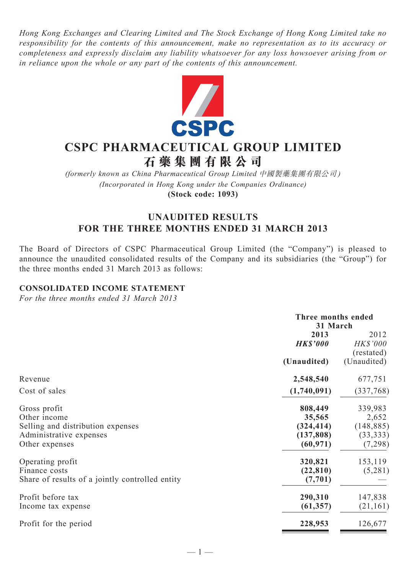*Hong Kong Exchanges and Clearing Limited and The Stock Exchange of Hong Kong Limited take no responsibility for the contents of this announcement, make no representation as to its accuracy or completeness and expressly disclaim any liability whatsoever for any loss howsoever arising from or in reliance upon the whole or any part of the contents of this announcement.*



# **CSPC Pharmaceutical Group Limited**

**石 藥 集 團 有 限 公 司**

*(formerly known as China Pharmaceutical Group Limited* 中國製藥集團有限公司 *) (Incorporated in Hong Kong under the Companies Ordinance)* **(Stock code: 1093)**

### **UNAUDITED RESULTS FOR THE THREE MONTHS ENDED 31 MARCH 2013**

The Board of Directors of CSPC Pharmaceutical Group Limited (the "Company") is pleased to announce the unaudited consolidated results of the Company and its subsidiaries (the "Group") for the three months ended 31 March 2013 as follows:

#### **CONSOLIDATED INCOME STATEMENT**

*For the three months ended 31 March 2013*

|                                                                                                                | Three months ended<br>31 March                             |                                                        |  |
|----------------------------------------------------------------------------------------------------------------|------------------------------------------------------------|--------------------------------------------------------|--|
|                                                                                                                | 2013<br><b>HK\$'000</b>                                    | 2012<br><b>HK\$'000</b><br>(restated)                  |  |
|                                                                                                                | (Unaudited)                                                | (Unaudited)                                            |  |
| Revenue                                                                                                        | 2,548,540                                                  | 677,751                                                |  |
| Cost of sales                                                                                                  | (1,740,091)                                                | (337,768)                                              |  |
| Gross profit<br>Other income<br>Selling and distribution expenses<br>Administrative expenses<br>Other expenses | 808,449<br>35,565<br>(324, 414)<br>(137, 808)<br>(60, 971) | 339,983<br>2,652<br>(148, 885)<br>(33, 333)<br>(7,298) |  |
| Operating profit<br>Finance costs<br>Share of results of a jointly controlled entity                           | 320,821<br>(22, 810)<br>(7, 701)                           | 153,119<br>(5,281)                                     |  |
| Profit before tax<br>Income tax expense                                                                        | 290,310<br>(61, 357)                                       | 147,838<br>(21, 161)                                   |  |
| Profit for the period                                                                                          | 228,953                                                    | 126,677                                                |  |
|                                                                                                                |                                                            |                                                        |  |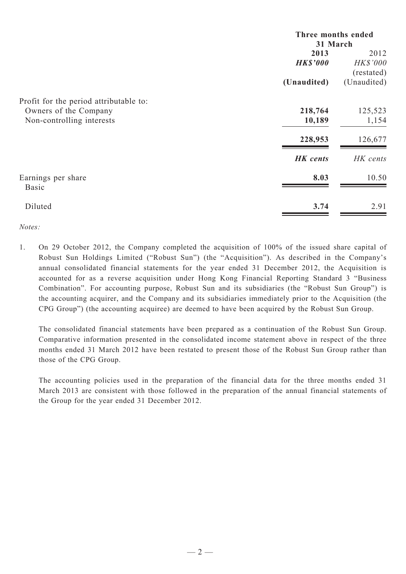|                                        | Three months ended |                 |  |
|----------------------------------------|--------------------|-----------------|--|
|                                        | 31 March           |                 |  |
|                                        | 2013               | 2012            |  |
|                                        | <b>HK\$'000</b>    | <b>HK\$'000</b> |  |
|                                        |                    | (restated)      |  |
|                                        | (Unaudited)        | (Unaudited)     |  |
| Profit for the period attributable to: |                    |                 |  |
| Owners of the Company                  | 218,764            | 125,523         |  |
| Non-controlling interests              | 10,189             | 1,154           |  |
|                                        | 228,953            | 126,677         |  |
|                                        | <b>HK</b> cents    | HK cents        |  |
| Earnings per share<br><b>Basic</b>     | 8.03               | 10.50           |  |
|                                        |                    |                 |  |
| Diluted                                | 3.74               | 2.91            |  |

*Notes:*

1. On 29 October 2012, the Company completed the acquisition of 100% of the issued share capital of Robust Sun Holdings Limited ("Robust Sun") (the "Acquisition"). As described in the Company's annual consolidated financial statements for the year ended 31 December 2012, the Acquisition is accounted for as a reverse acquisition under Hong Kong Financial Reporting Standard 3 "Business Combination". For accounting purpose, Robust Sun and its subsidiaries (the "Robust Sun Group") is the accounting acquirer, and the Company and its subsidiaries immediately prior to the Acquisition (the CPG Group") (the accounting acquiree) are deemed to have been acquired by the Robust Sun Group.

The consolidated financial statements have been prepared as a continuation of the Robust Sun Group. Comparative information presented in the consolidated income statement above in respect of the three months ended 31 March 2012 have been restated to present those of the Robust Sun Group rather than those of the CPG Group.

The accounting policies used in the preparation of the financial data for the three months ended 31 March 2013 are consistent with those followed in the preparation of the annual financial statements of the Group for the year ended 31 December 2012.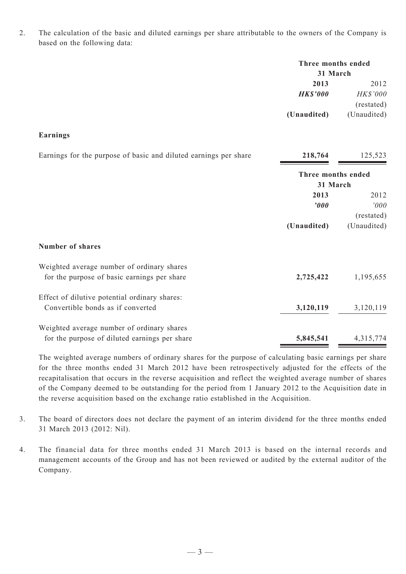2. The calculation of the basic and diluted earnings per share attributable to the owners of the Company is based on the following data:

|                                                                  | Three months ended<br>31 March |             |  |  |
|------------------------------------------------------------------|--------------------------------|-------------|--|--|
|                                                                  | 2013                           | 2012        |  |  |
|                                                                  | <b>HK\$'000</b>                | HK\$'000    |  |  |
|                                                                  |                                | (restated)  |  |  |
|                                                                  | (Unaudited)                    | (Unaudited) |  |  |
| <b>Earnings</b>                                                  |                                |             |  |  |
| Earnings for the purpose of basic and diluted earnings per share | 218,764                        | 125,523     |  |  |
|                                                                  | Three months ended             |             |  |  |
|                                                                  | 31 March                       |             |  |  |
|                                                                  | 2013                           | 2012        |  |  |
|                                                                  | $\boldsymbol{v}$               | '000        |  |  |
|                                                                  |                                | (restated)  |  |  |
|                                                                  | (Unaudited)                    | (Unaudited) |  |  |
| <b>Number of shares</b>                                          |                                |             |  |  |
| Weighted average number of ordinary shares                       |                                |             |  |  |
| for the purpose of basic earnings per share                      | 2,725,422                      | 1,195,655   |  |  |
| Effect of dilutive potential ordinary shares:                    |                                |             |  |  |
| Convertible bonds as if converted                                | 3,120,119                      | 3,120,119   |  |  |
| Weighted average number of ordinary shares                       |                                |             |  |  |
| for the purpose of diluted earnings per share                    | 5,845,541                      | 4,315,774   |  |  |

The weighted average numbers of ordinary shares for the purpose of calculating basic earnings per share for the three months ended 31 March 2012 have been retrospectively adjusted for the effects of the recapitalisation that occurs in the reverse acquisition and reflect the weighted average number of shares of the Company deemed to be outstanding for the period from 1 January 2012 to the Acquisition date in the reverse acquisition based on the exchange ratio established in the Acquisition.

- 3. The board of directors does not declare the payment of an interim dividend for the three months ended 31 March 2013 (2012: Nil).
- 4. The financial data for three months ended 31 March 2013 is based on the internal records and management accounts of the Group and has not been reviewed or audited by the external auditor of the Company.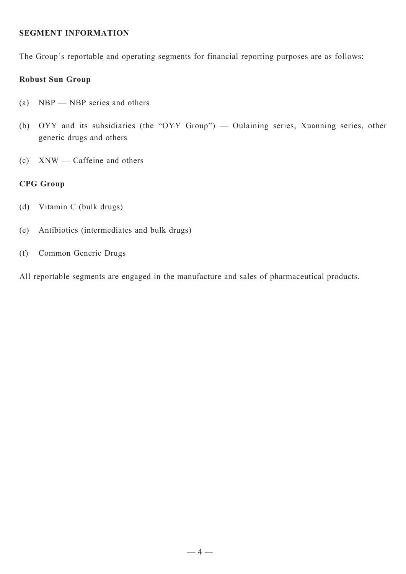#### **SEGMENT INFORMATION**

The Group's reportable and operating segments for financial reporting purposes are as follows:

#### **Robust Sun Group**

- (a) NBP NBP series and others
- (b) OYY and its subsidiaries (the "OYY Group") Oulaining series, Xuanning series, other generic drugs and others
- (c) XNW Caffeine and others

#### **CPG Group**

- (d) Vitamin C (bulk drugs)
- (e) Antibiotics (intermediates and bulk drugs)
- (f) Common Generic Drugs

All reportable segments are engaged in the manufacture and sales of pharmaceutical products.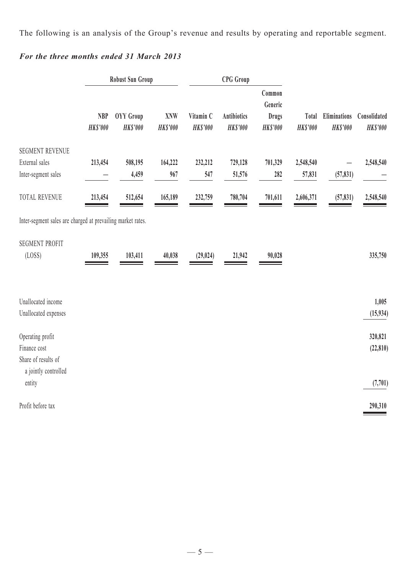The following is an analysis of the Group's revenue and results by operating and reportable segment.

## *For the three months ended 31 March 2013*

|                                                                                 | <b>Robust Sun Group</b>       |                              |                               | <b>CPG</b> Group             |                                       |                                                      |                          |                                        |                                 |
|---------------------------------------------------------------------------------|-------------------------------|------------------------------|-------------------------------|------------------------------|---------------------------------------|------------------------------------------------------|--------------------------|----------------------------------------|---------------------------------|
|                                                                                 | <b>NBP</b><br><b>HK\$'000</b> | OYY Group<br><b>HK\$'000</b> | <b>XNW</b><br><b>HK\$'000</b> | Vitamin C<br><b>HK\$'000</b> | <b>Antibiotics</b><br><b>HK\$'000</b> | Common<br>Generic<br><b>Drugs</b><br><b>HK\$'000</b> | Total<br><b>HK\$'000</b> | <b>Eliminations</b><br><b>HK\$'000</b> | Consolidated<br><b>HK\$'000</b> |
| <b>SEGMENT REVENUE</b><br>External sales<br>Inter-segment sales                 | 213,454                       | 508,195<br>4,459             | 164,222<br>967                | 232,212<br>547               | 729,128<br>51,576                     | 701,329<br>282                                       | 2,548,540<br>57,831      | (57, 831)                              | 2,548,540                       |
| TOTAL REVENUE                                                                   | 213,454                       | 512,654                      | 165,189                       | 232,759                      | 780,704                               | 701,611                                              | 2,606,371                | (57, 831)                              | 2,548,540                       |
| Inter-segment sales are charged at prevailing market rates.                     |                               |                              |                               |                              |                                       |                                                      |                          |                                        |                                 |
| <b>SEGMENT PROFIT</b><br>(LOSS)                                                 | 109,355                       | 103,411                      | 40,038                        | (29, 024)                    | 21,942                                | 90,028                                               |                          |                                        | 335,750                         |
| Unallocated income<br>Unallocated expenses                                      |                               |                              |                               |                              |                                       |                                                      |                          |                                        | 1,005<br>(15, 934)              |
| Operating profit<br>Finance cost<br>Share of results of<br>a jointly controlled |                               |                              |                               |                              |                                       |                                                      |                          |                                        | 320,821<br>(22, 810)            |
| entity                                                                          |                               |                              |                               |                              |                                       |                                                      |                          |                                        | (7, 701)                        |
| Profit before tax                                                               |                               |                              |                               |                              |                                       |                                                      |                          |                                        | 290,310                         |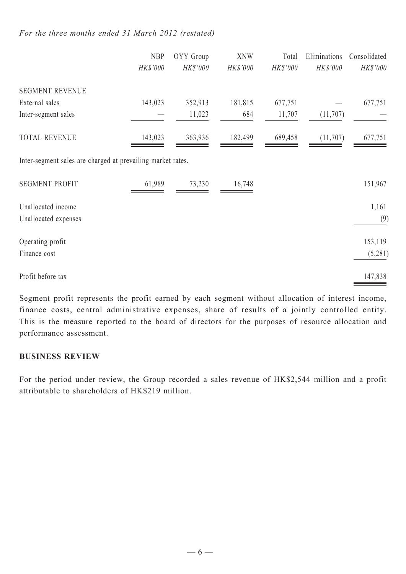#### *For the three months ended 31 March 2012 (restated)*

|                                                             | <b>NBP</b> | OYY Group | <b>XNW</b> | Total    | Eliminations | Consolidated |
|-------------------------------------------------------------|------------|-----------|------------|----------|--------------|--------------|
|                                                             | HK\$'000   | HK\$'000  | HK\$'000   | HK\$'000 | HK\$'000     | HK\$'000     |
| <b>SEGMENT REVENUE</b>                                      |            |           |            |          |              |              |
| External sales                                              | 143,023    | 352,913   | 181,815    | 677,751  |              | 677,751      |
| Inter-segment sales                                         |            | 11,023    | 684        | 11,707   | (11,707)     |              |
| <b>TOTAL REVENUE</b>                                        | 143,023    | 363,936   | 182,499    | 689,458  | (11,707)     | 677,751      |
| Inter-segment sales are charged at prevailing market rates. |            |           |            |          |              |              |
| <b>SEGMENT PROFIT</b>                                       | 61,989     | 73,230    | 16,748     |          |              | 151,967      |
| Unallocated income                                          |            |           |            |          |              | 1,161        |
| Unallocated expenses                                        |            |           |            |          |              | (9)          |
| Operating profit                                            |            |           |            |          |              | 153,119      |
| Finance cost                                                |            |           |            |          |              | (5,281)      |
| Profit before tax                                           |            |           |            |          |              | 147,838      |

Segment profit represents the profit earned by each segment without allocation of interest income, finance costs, central administrative expenses, share of results of a jointly controlled entity. This is the measure reported to the board of directors for the purposes of resource allocation and performance assessment.

#### **BUSINESS REVIEW**

For the period under review, the Group recorded a sales revenue of HK\$2,544 million and a profit attributable to shareholders of HK\$219 million.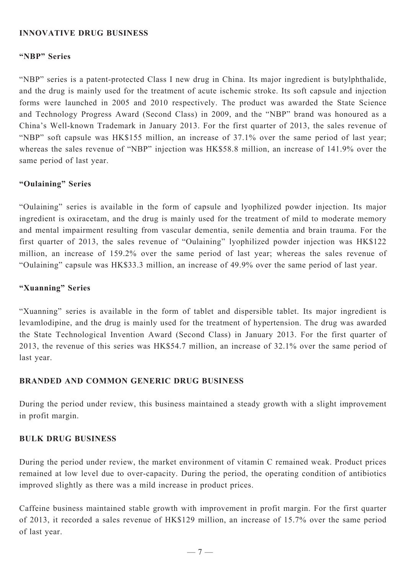#### **INNOVATIVE DRUG BUSINESS**

#### **"NBP" Series**

"NBP" series is a patent-protected Class I new drug in China. Its major ingredient is butylphthalide, and the drug is mainly used for the treatment of acute ischemic stroke. Its soft capsule and injection forms were launched in 2005 and 2010 respectively. The product was awarded the State Science and Technology Progress Award (Second Class) in 2009, and the "NBP" brand was honoured as a China's Well-known Trademark in January 2013. For the first quarter of 2013, the sales revenue of "NBP" soft capsule was HK\$155 million, an increase of 37.1% over the same period of last year; whereas the sales revenue of "NBP" injection was HK\$58.8 million, an increase of 141.9% over the same period of last year.

#### **"Oulaining" Series**

"Oulaining" series is available in the form of capsule and lyophilized powder injection. Its major ingredient is oxiracetam, and the drug is mainly used for the treatment of mild to moderate memory and mental impairment resulting from vascular dementia, senile dementia and brain trauma. For the first quarter of 2013, the sales revenue of "Oulaining" lyophilized powder injection was HK\$122 million, an increase of 159.2% over the same period of last year; whereas the sales revenue of "Oulaining" capsule was HK\$33.3 million, an increase of 49.9% over the same period of last year.

#### **"Xuanning" Series**

"Xuanning" series is available in the form of tablet and dispersible tablet. Its major ingredient is levamlodipine, and the drug is mainly used for the treatment of hypertension. The drug was awarded the State Technological Invention Award (Second Class) in January 2013. For the first quarter of 2013, the revenue of this series was HK\$54.7 million, an increase of 32.1% over the same period of last year.

#### **BRANDED AND COMMON GENERIC DRUG BUSINESS**

During the period under review, this business maintained a steady growth with a slight improvement in profit margin.

#### **BULK DRUG BUSINESS**

During the period under review, the market environment of vitamin C remained weak. Product prices remained at low level due to over-capacity. During the period, the operating condition of antibiotics improved slightly as there was a mild increase in product prices.

Caffeine business maintained stable growth with improvement in profit margin. For the first quarter of 2013, it recorded a sales revenue of HK\$129 million, an increase of 15.7% over the same period of last year.